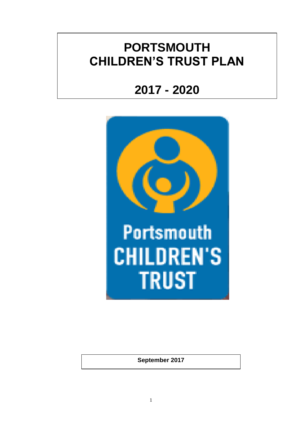# **PORTSMOUTH CHILDREN'S TRUST PLAN**

# **2017 - 2020**



**Portsmouth CHILDREN'S TRUST** 

**September 2017**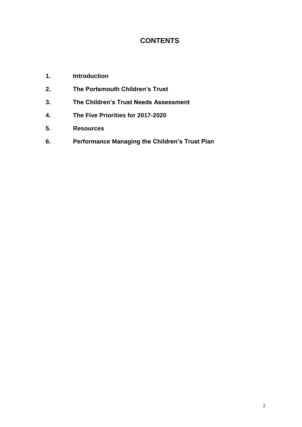## **CONTENTS**

- **1. Introduction**
- **2. The Portsmouth Children's Trust**
- **3. The Children's Trust Needs Assessment**
- **4. The Five Priorities for 2017-2020**
- **5. Resources**
- **6. Performance Managing the Children's Trust Plan**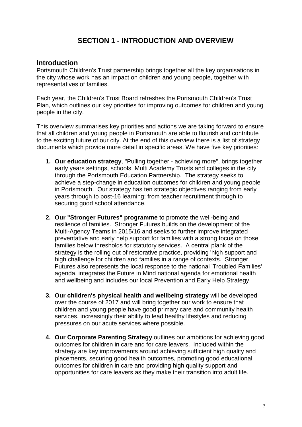## **SECTION 1 - INTRODUCTION AND OVERVIEW**

#### **Introduction**

Portsmouth Children's Trust partnership brings together all the key organisations in the city whose work has an impact on children and young people, together with representatives of families.

Each year, the Children's Trust Board refreshes the Portsmouth Children's Trust Plan, which outlines our key priorities for improving outcomes for children and young people in the city.

This overview summarises key priorities and actions we are taking forward to ensure that all children and young people in Portsmouth are able to flourish and contribute to the exciting future of our city. At the end of this overview there is a list of strategy documents which provide more detail in specific areas. We have five key priorities:

- **1. Our education strategy**, "Pulling together achieving more", brings together early years settings, schools, Multi Academy Trusts and colleges in the city through the Portsmouth Education Partnership. The strategy seeks to achieve a step-change in education outcomes for children and young people in Portsmouth. Our strategy has ten strategic objectives ranging from early years through to post-16 learning; from teacher recruitment through to securing good school attendance.
- **2. Our "Stronger Futures" programme** to promote the well-being and resilience of families. Stronger Futures builds on the development of the Multi-Agency Teams in 2015/16 and seeks to further improve integrated preventative and early help support for families with a strong focus on those families below thresholds for statutory services. A central plank of the strategy is the rolling out of restorative practice, providing 'high support and high challenge for children and families in a range of contexts. Stronger Futures also represents the local response to the national 'Troubled Families' agenda, integrates the Future in Mind national agenda for emotional health and wellbeing and includes our local Prevention and Early Help Strategy
- **3. Our children's physical health and wellbeing strategy** will be developed over the course of 2017 and will bring together our work to ensure that children and young people have good primary care and community health services, increasingly their ability to lead healthy lifestyles and reducing pressures on our acute services where possible.
- **4. Our Corporate Parenting Strategy** outlines our ambitions for achieving good outcomes for children in care and for care leavers. Included within the strategy are key improvements around achieving sufficient high quality and placements, securing good health outcomes, promoting good educational outcomes for children in care and providing high quality support and opportunities for care leavers as they make their transition into adult life.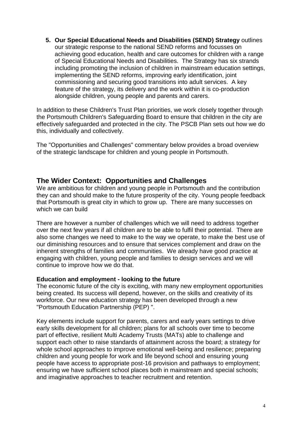**5. Our Special Educational Needs and Disabilities (SEND) Strategy** outlines our strategic response to the national SEND reforms and focusses on achieving good education, health and care outcomes for children with a range of Special Educational Needs and Disabilities. The Strategy has six strands including promoting the inclusion of children in mainstream education settings, implementing the SEND reforms, improving early identification, joint commissioning and securing good transitions into adult services. A key feature of the strategy, its delivery and the work within it is co-production alongside children, young people and parents and carers.

In addition to these Children's Trust Plan priorities, we work closely together through the Portsmouth Children's Safeguarding Board to ensure that children in the city are effectively safeguarded and protected in the city. The PSCB Plan sets out how we do this, individually and collectively.

The "Opportunities and Challenges" commentary below provides a broad overview of the strategic landscape for children and young people in Portsmouth.

#### **The Wider Context: Opportunities and Challenges**

We are ambitious for children and young people in Portsmouth and the contribution they can and should make to the future prosperity of the city. Young people feedback that Portsmouth is great city in which to grow up. There are many successes on which we can build

There are however a number of challenges which we will need to address together over the next few years if all children are to be able to fulfil their potential. There are also some changes we need to make to the way we operate, to make the best use of our diminishing resources and to ensure that services complement and draw on the inherent strengths of families and communities. We already have good practice at engaging with children, young people and families to design services and we will continue to improve how we do that.

#### **Education and employment - looking to the future**

The economic future of the city is exciting, with many new employment opportunities being created. Its success will depend, however, on the skills and creativity of its workforce. Our new education strategy has been developed through a new "Portsmouth Education Partnership (PEP) ".

Key elements include support for parents, carers and early years settings to drive early skills development for all children; plans for all schools over time to become part of effective, resilient Multi Academy Trusts (MATs) able to challenge and support each other to raise standards of attainment across the board; a strategy for whole school approaches to improve emotional well-being and resilience; preparing children and young people for work and life beyond school and ensuring young people have access to appropriate post-16 provision and pathways to employment; ensuring we have sufficient school places both in mainstream and special schools; and imaginative approaches to teacher recruitment and retention.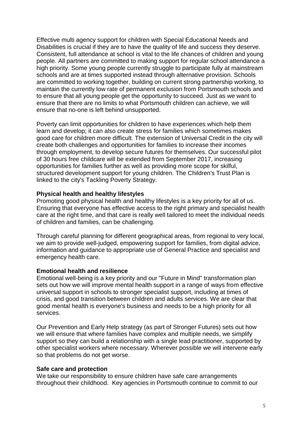Effective multi agency support for children with Special Educational Needs and Disabilities is crucial if they are to have the quality of life and success they deserve. Consistent, full attendance at school is vital to the life chances of children and young people. All partners are committed to making support for regular school attendance a high priority. Some young people currently struggle to participate fully at mainstream schools and are at times supported instead through alternative provision. Schools are committed to working together, building on current strong partnership working, to maintain the currently low rate of permanent exclusion from Portsmouth schools and to ensure that all young people get the opportunity to succeed. Just as we want to ensure that there are no limits to what Portsmouth children can achieve, we will ensure that no-one is left behind unsupported.

Poverty can limit opportunities for children to have experiences which help them learn and develop; it can also create stress for families which sometimes makes good care for children more difficult. The extension of Universal Credit in the city will create both challenges and opportunities for families to increase their incomes through employment, to develop secure futures for themselves. Our successful pilot of 30 hours free childcare will be extended from September 2017, increasing opportunities for families further as well as providing more scope for skilful, structured development support for young children. The Children's Trust Plan is linked to the city's Tackling Poverty Strategy.

#### **Physical health and healthy lifestyles**

Promoting good physical health and healthy lifestyles is a key priority for all of us. Ensuring that everyone has effective access to the right primary and specialist health care at the right time, and that care is really well tailored to meet the individual needs of children and families, can be challenging.

Through careful planning for different geographical areas, from regional to very local, we aim to provide well-judged, empowering support for families, from digital advice, information and guidance to appropriate use of General Practice and specialist and emergency health care.

#### **Emotional health and resilience**

Emotional well-being is a key priority and our "Future in Mind" transformation plan sets out how we will improve mental health support in a range of ways from effective universal support in schools to stronger specialist support, including at times of crisis, and good transition between children and adults services. We are clear that good mental health is everyone's business and needs to be a high priority for all services.

Our Prevention and Early Help strategy (as part of Stronger Futures) sets out how we will ensure that where families have complex and multiple needs, we simplify support so they can build a relationship with a single lead practitioner, supported by other specialist workers where necessary. Wherever possible we will intervene early so that problems do not get worse.

#### **Safe care and protection**

We take our responsibility to ensure children have safe care arrangements throughout their childhood. Key agencies in Portsmouth continue to commit to our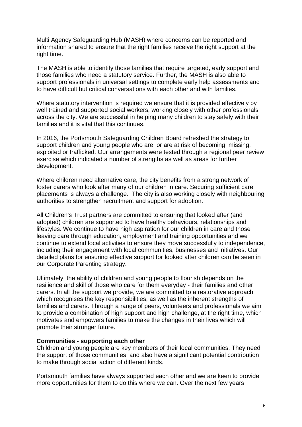Multi Agency Safeguarding Hub (MASH) where concerns can be reported and information shared to ensure that the right families receive the right support at the right time.

The MASH is able to identify those families that require targeted, early support and those families who need a statutory service. Further, the MASH is also able to support professionals in universal settings to complete early help assessments and to have difficult but critical conversations with each other and with families.

Where statutory intervention is required we ensure that it is provided effectively by well trained and supported social workers, working closely with other professionals across the city. We are successful in helping many children to stay safely with their families and it is vital that this continues.

In 2016, the Portsmouth Safeguarding Children Board refreshed the strategy to support children and young people who are, or are at risk of becoming, missing, exploited or trafficked. Our arrangements were tested through a regional peer review exercise which indicated a number of strengths as well as areas for further development.

Where children need alternative care, the city benefits from a strong network of foster carers who look after many of our children in care. Securing sufficient care placements is always a challenge. The city is also working closely with neighbouring authorities to strengthen recruitment and support for adoption.

All Children's Trust partners are committed to ensuring that looked after (and adopted) children are supported to have healthy behaviours, relationships and lifestyles. We continue to have high aspiration for our children in care and those leaving care through education, employment and training opportunities and we continue to extend local activities to ensure they move successfully to independence, including their engagement with local communities, businesses and initiatives. Our detailed plans for ensuring effective support for looked after children can be seen in our Corporate Parenting strategy.

Ultimately, the ability of children and young people to flourish depends on the resilience and skill of those who care for them everyday - their families and other carers. In all the support we provide, we are committed to a restorative approach which recognises the key responsibilities, as well as the inherent strengths of families and carers. Through a range of peers, volunteers and professionals we aim to provide a combination of high support and high challenge, at the right time, which motivates and empowers families to make the changes in their lives which will promote their stronger future.

#### **Communities - supporting each other**

Children and young people are key members of their local communities. They need the support of those communities, and also have a significant potential contribution to make through social action of different kinds.

Portsmouth families have always supported each other and we are keen to provide more opportunities for them to do this where we can. Over the next few years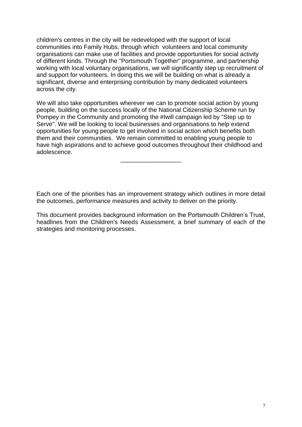children's centres in the city will be redeveloped with the support of local communities into Family Hubs, through which volunteers and local community organisations can make use of facilities and provide opportunities for social activity of different kinds. Through the "Portsmouth Together" programme, and partnership working with local voluntary organisations, we will significantly step up recruitment of and support for volunteers. In doing this we will be building on what is already a significant, diverse and enterprising contribution by many dedicated volunteers across the city.

We will also take opportunities wherever we can to promote social action by young people, building on the success locally of the National Citizenship Scheme run by Pompey in the Community and promoting the #Iwill campaign led by "Step up to Serve". We will be looking to local businesses and organisations to help extend opportunities for young people to get involved in social action which benefits both them and their communities. We remain committed to enabling young people to have high aspirations and to achieve good outcomes throughout their childhood and adolescence.

\_\_\_\_\_\_\_\_\_\_\_\_\_\_\_\_\_\_

Each one of the priorities has an improvement strategy which outlines in more detail the outcomes, performance measures and activity to deliver on the priority.

This document provides background information on the Portsmouth Children's Trust, headlines from the Children's Needs Assessment, a brief summary of each of the strategies and monitoring processes.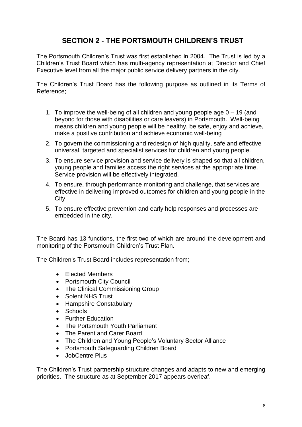# **SECTION 2 - THE PORTSMOUTH CHILDREN'S TRUST**

The Portsmouth Children's Trust was first established in 2004. The Trust is led by a Children's Trust Board which has multi-agency representation at Director and Chief Executive level from all the major public service delivery partners in the city.

The Children's Trust Board has the following purpose as outlined in its Terms of Reference;

- 1. To improve the well-being of all children and young people age 0 19 (and beyond for those with disabilities or care leavers) in Portsmouth. Well-being means children and young people will be healthy, be safe, enjoy and achieve, make a positive contribution and achieve economic well-being
- 2. To govern the commissioning and redesign of high quality, safe and effective universal, targeted and specialist services for children and young people.
- 3. To ensure service provision and service delivery is shaped so that all children, young people and families access the right services at the appropriate time. Service provision will be effectively integrated.
- 4. To ensure, through performance monitoring and challenge, that services are effective in delivering improved outcomes for children and young people in the City.
- 5. To ensure effective prevention and early help responses and processes are embedded in the city.

The Board has 13 functions, the first two of which are around the development and monitoring of the Portsmouth Children's Trust Plan.

The Children's Trust Board includes representation from;

- Elected Members
- Portsmouth City Council
- The Clinical Commissioning Group
- Solent NHS Trust
- Hampshire Constabulary
- Schools
- Further Education
- The Portsmouth Youth Parliament
- The Parent and Carer Board
- The Children and Young People's Voluntary Sector Alliance
- Portsmouth Safeguarding Children Board
- JobCentre Plus

The Children's Trust partnership structure changes and adapts to new and emerging priorities. The structure as at September 2017 appears overleaf.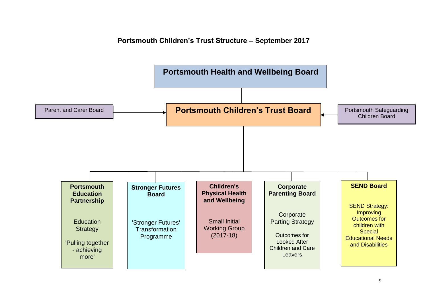### **Portsmouth Children's Trust Structure – September 2017**

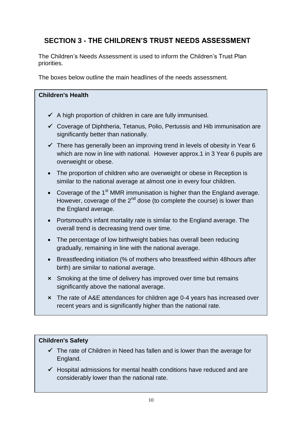# **SECTION 3 - THE CHILDREN'S TRUST NEEDS ASSESSMENT**

The Children's Needs Assessment is used to inform the Children's Trust Plan priorities.

The boxes below outline the main headlines of the needs assessment.

#### **Children's Health**

- $\checkmark$  A high proportion of children in care are fully immunised.
- $\checkmark$  Coverage of Diphtheria, Tetanus, Polio, Pertussis and Hib immunisation are significantly better than nationally.
- $\checkmark$  There has generally been an improving trend in levels of obesity in Year 6 which are now in line with national. However approx.1 in 3 Year 6 pupils are overweight or obese.
- The proportion of children who are overweight or obese in Reception is similar to the national average at almost one in every four children.
- Coverage of the 1<sup>st</sup> MMR immunisation is higher than the England average. However, coverage of the  $2^{nd}$  dose (to complete the course) is lower than the England average.
- Portsmouth's infant mortality rate is similar to the England average. The overall trend is decreasing trend over time.
- The percentage of low birthweight babies has overall been reducing gradually, remaining in line with the national average.
- Breastfeeding initiation (% of mothers who breastfeed within 48 hours after birth) are similar to national average.
- **×** Smoking at the time of delivery has improved over time but remains significantly above the national average.
- **×** The rate of A&E attendances for children age 0-4 years has increased over recent years and is significantly higher than the national rate.

#### **Children's Safety**

- $\checkmark$  The rate of Children in Need has fallen and is lower than the average for England.
- $\checkmark$  Hospital admissions for mental health conditions have reduced and are considerably lower than the national rate.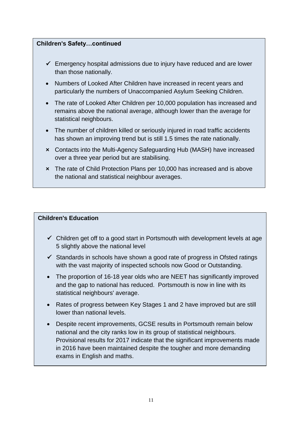#### **Children's Safety…continued**

- $\checkmark$  Emergency hospital admissions due to injury have reduced and are lower than those nationally.
- Numbers of Looked After Children have increased in recent years and particularly the numbers of Unaccompanied Asylum Seeking Children.
- The rate of Looked After Children per 10,000 population has increased and remains above the national average, although lower than the average for statistical neighbours.
- The number of children killed or seriously injured in road traffic accidents has shown an improving trend but is still 1.5 times the rate nationally.
- **×** Contacts into the Multi-Agency Safeguarding Hub (MASH) have increased over a three year period but are stabilising.
- **×** The rate of Child Protection Plans per 10,000 has increased and is above the national and statistical neighbour averages.

#### **Children's Education**

.

- $\checkmark$  Children get off to a good start in Portsmouth with development levels at age 5 slightly above the national level
- $\checkmark$  Standards in schools have shown a good rate of progress in Ofsted ratings with the vast majority of inspected schools now Good or Outstanding.
- The proportion of 16-18 year olds who are NEET has significantly improved and the gap to national has reduced. Portsmouth is now in line with its statistical neighbours' average.
- Rates of progress between Key Stages 1 and 2 have improved but are still lower than national levels.
- Despite recent improvements, GCSE results in Portsmouth remain below national and the city ranks low in its group of statistical neighbours. Provisional results for 2017 indicate that the significant improvements made in 2016 have been maintained despite the tougher and more demanding exams in English and maths.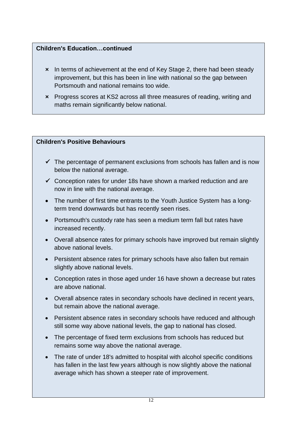### **Children's Education…continued**

- **×** In terms of achievement at the end of Key Stage 2, there had been steady improvement, but this has been in line with national so the gap between Portsmouth and national remains too wide.
- **×** Progress scores at KS2 across all three measures of reading, writing and maths remain significantly below national.

#### **Children's Positive Behaviours**

- $\checkmark$  The percentage of permanent exclusions from schools has fallen and is now below the national average.
- $\checkmark$  Conception rates for under 18s have shown a marked reduction and are now in line with the national average.
- The number of first time entrants to the Youth Justice System has a longterm trend downwards but has recently seen rises.
- Portsmouth's custody rate has seen a medium term fall but rates have increased recently.
- Overall absence rates for primary schools have improved but remain slightly above national levels.
- Persistent absence rates for primary schools have also fallen but remain slightly above national levels.
- Conception rates in those aged under 16 have shown a decrease but rates are above national.
- Overall absence rates in secondary schools have declined in recent years, but remain above the national average.
- Persistent absence rates in secondary schools have reduced and although still some way above national levels, the gap to national has closed.
- The percentage of fixed term exclusions from schools has reduced but remains some way above the national average.
- The rate of under 18's admitted to hospital with alcohol specific conditions has fallen in the last few years although is now slightly above the national average which has shown a steeper rate of improvement.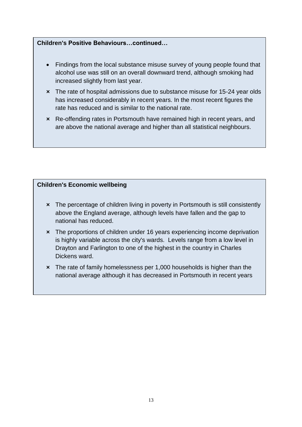#### **Children's Positive Behaviours…continued…**

- Findings from the local substance misuse survey of young people found that alcohol use was still on an overall downward trend, although smoking had increased slightly from last year.
- **×** The rate of hospital admissions due to substance misuse for 15-24 year olds has increased considerably in recent years. In the most recent figures the rate has reduced and is similar to the national rate.
- **×** Re-offending rates in Portsmouth have remained high in recent years, and are above the national average and higher than all statistical neighbours.

#### **Children's Economic wellbeing**

- **×** The percentage of children living in poverty in Portsmouth is still consistently above the England average, although levels have fallen and the gap to national has reduced.
- **×** The proportions of children under 16 years experiencing income deprivation is highly variable across the city's wards. Levels range from a low level in Drayton and Farlington to one of the highest in the country in Charles Dickens ward.
- **×** The rate of family homelessness per 1,000 households is higher than the national average although it has decreased in Portsmouth in recent years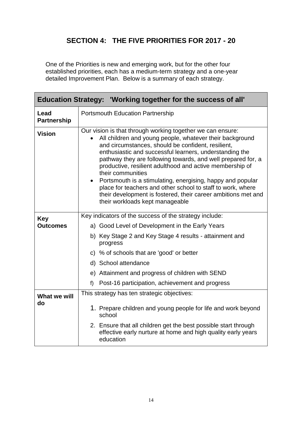# **SECTION 4: THE FIVE PRIORITIES FOR 2017 - 20**

One of the Priorities is new and emerging work, but for the other four established priorities, each has a medium-term strategy and a one-year detailed Improvement Plan. Below is a summary of each strategy.

| Education Strategy: 'Working together for the success of all' |                                                                                                                                                                                                                                                                                                                                                                                                                                                                                                                                                                                                                             |  |
|---------------------------------------------------------------|-----------------------------------------------------------------------------------------------------------------------------------------------------------------------------------------------------------------------------------------------------------------------------------------------------------------------------------------------------------------------------------------------------------------------------------------------------------------------------------------------------------------------------------------------------------------------------------------------------------------------------|--|
| Lead<br><b>Partnership</b>                                    | <b>Portsmouth Education Partnership</b>                                                                                                                                                                                                                                                                                                                                                                                                                                                                                                                                                                                     |  |
| <b>Vision</b>                                                 | Our vision is that through working together we can ensure:<br>All children and young people, whatever their background<br>and circumstances, should be confident, resilient,<br>enthusiastic and successful learners, understanding the<br>pathway they are following towards, and well prepared for, a<br>productive, resilient adulthood and active membership of<br>their communities<br>• Portsmouth is a stimulating, energising, happy and popular<br>place for teachers and other school to staff to work, where<br>their development is fostered, their career ambitions met and<br>their workloads kept manageable |  |
| <b>Key</b>                                                    | Key indicators of the success of the strategy include:                                                                                                                                                                                                                                                                                                                                                                                                                                                                                                                                                                      |  |
| <b>Outcomes</b>                                               | a) Good Level of Development in the Early Years                                                                                                                                                                                                                                                                                                                                                                                                                                                                                                                                                                             |  |
|                                                               | b) Key Stage 2 and Key Stage 4 results - attainment and<br>progress                                                                                                                                                                                                                                                                                                                                                                                                                                                                                                                                                         |  |
|                                                               | c) % of schools that are 'good' or better                                                                                                                                                                                                                                                                                                                                                                                                                                                                                                                                                                                   |  |
|                                                               | d) School attendance                                                                                                                                                                                                                                                                                                                                                                                                                                                                                                                                                                                                        |  |
|                                                               | e) Attainment and progress of children with SEND                                                                                                                                                                                                                                                                                                                                                                                                                                                                                                                                                                            |  |
|                                                               | Post-16 participation, achievement and progress<br>$f$ )                                                                                                                                                                                                                                                                                                                                                                                                                                                                                                                                                                    |  |
| What we will                                                  | This strategy has ten strategic objectives:                                                                                                                                                                                                                                                                                                                                                                                                                                                                                                                                                                                 |  |
| do                                                            | 1. Prepare children and young people for life and work beyond<br>school                                                                                                                                                                                                                                                                                                                                                                                                                                                                                                                                                     |  |
|                                                               | 2. Ensure that all children get the best possible start through<br>effective early nurture at home and high quality early years<br>education                                                                                                                                                                                                                                                                                                                                                                                                                                                                                |  |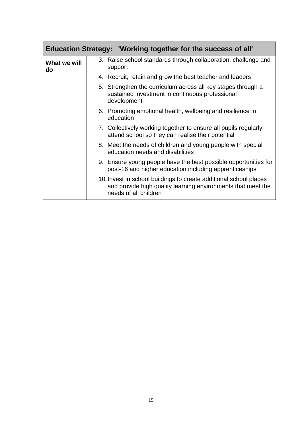|                    | Education Strategy: 'Working together for the success of all'                                                                                              |
|--------------------|------------------------------------------------------------------------------------------------------------------------------------------------------------|
| What we will<br>do | 3. Raise school standards through collaboration, challenge and<br>support                                                                                  |
|                    | 4. Recruit, retain and grow the best teacher and leaders                                                                                                   |
|                    | 5. Strengthen the curriculum across all key stages through a<br>sustained investment in continuous professional<br>development                             |
|                    | 6. Promoting emotional health, wellbeing and resilience in<br>education                                                                                    |
|                    | 7. Collectively working together to ensure all pupils regularly<br>attend school so they can realise their potential                                       |
|                    | 8. Meet the needs of children and young people with special<br>education needs and disabilities                                                            |
|                    | 9. Ensure young people have the best possible opportunities for<br>post-16 and higher education including apprenticeships                                  |
|                    | 10. Invest in school buildings to create additional school places<br>and provide high quality learning environments that meet the<br>needs of all children |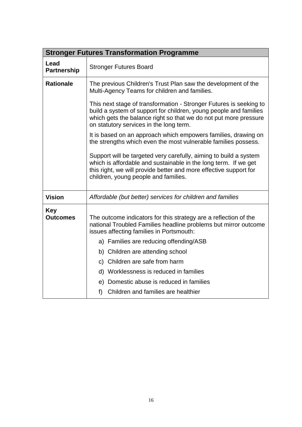|                               | <b>Stronger Futures Transformation Programme</b>                                                                                                                                                                                                       |  |
|-------------------------------|--------------------------------------------------------------------------------------------------------------------------------------------------------------------------------------------------------------------------------------------------------|--|
| Lead<br><b>Partnership</b>    | <b>Stronger Futures Board</b>                                                                                                                                                                                                                          |  |
| <b>Rationale</b>              | The previous Children's Trust Plan saw the development of the<br>Multi-Agency Teams for children and families.                                                                                                                                         |  |
|                               | This next stage of transformation - Stronger Futures is seeking to<br>build a system of support for children, young people and families<br>which gets the balance right so that we do not put more pressure<br>on statutory services in the long term. |  |
|                               | It is based on an approach which empowers families, drawing on<br>the strengths which even the most vulnerable families possess.                                                                                                                       |  |
|                               | Support will be targeted very carefully, aiming to build a system<br>which is affordable and sustainable in the long term. If we get<br>this right, we will provide better and more effective support for<br>children, young people and families.      |  |
| <b>Vision</b>                 | Affordable (but better) services for children and families                                                                                                                                                                                             |  |
| <b>Key</b><br><b>Outcomes</b> | The outcome indicators for this strategy are a reflection of the<br>national Troubled Families headline problems but mirror outcome<br>issues affecting families in Portsmouth:<br>a) Families are reducing offending/ASB                              |  |
|                               | b) Children are attending school                                                                                                                                                                                                                       |  |
|                               | c) Children are safe from harm                                                                                                                                                                                                                         |  |
|                               | d) Worklessness is reduced in families                                                                                                                                                                                                                 |  |
|                               | e) Domestic abuse is reduced in families                                                                                                                                                                                                               |  |
|                               | f) Children and families are healthier                                                                                                                                                                                                                 |  |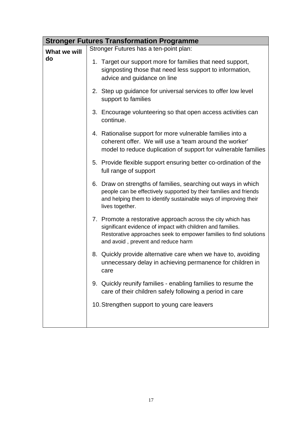|              | <b>Stronger Futures Transformation Programme</b>                                                                                                                                                                                     |
|--------------|--------------------------------------------------------------------------------------------------------------------------------------------------------------------------------------------------------------------------------------|
| What we will | Stronger Futures has a ten-point plan:                                                                                                                                                                                               |
| do           | 1. Target our support more for families that need support,<br>signposting those that need less support to information,<br>advice and guidance on line                                                                                |
|              | 2. Step up guidance for universal services to offer low level<br>support to families                                                                                                                                                 |
|              | 3. Encourage volunteering so that open access activities can<br>continue.                                                                                                                                                            |
|              | 4. Rationalise support for more vulnerable families into a<br>coherent offer. We will use a 'team around the worker'<br>model to reduce duplication of support for vulnerable families                                               |
|              | 5. Provide flexible support ensuring better co-ordination of the<br>full range of support                                                                                                                                            |
|              | 6. Draw on strengths of families, searching out ways in which<br>people can be effectively supported by their families and friends<br>and helping them to identify sustainable ways of improving their<br>lives together.            |
|              | 7. Promote a restorative approach across the city which has<br>significant evidence of impact with children and families.<br>Restorative approaches seek to empower families to find solutions<br>and avoid, prevent and reduce harm |
|              | 8. Quickly provide alternative care when we have to, avoiding<br>unnecessary delay in achieving permanence for children in<br>care                                                                                                   |
|              | 9. Quickly reunify families - enabling families to resume the<br>care of their children safely following a period in care                                                                                                            |
|              | 10. Strengthen support to young care leavers                                                                                                                                                                                         |
|              |                                                                                                                                                                                                                                      |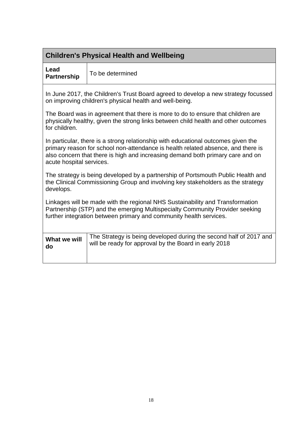# **Children's Physical Health and Wellbeing**

| Lead        |                  |
|-------------|------------------|
| Partnership | To be determined |

 $\overline{\mathsf{T}}$ 

In June 2017, the Children's Trust Board agreed to develop a new strategy focussed on improving children's physical health and well-being.

The Board was in agreement that there is more to do to ensure that children are physically healthy, given the strong links between child health and other outcomes for children.

In particular, there is a strong relationship with educational outcomes given the primary reason for school non-attendance is health related absence, and there is also concern that there is high and increasing demand both primary care and on acute hospital services.

The strategy is being developed by a partnership of Portsmouth Public Health and the Clinical Commissioning Group and involving key stakeholders as the strategy develops.

Linkages will be made with the regional NHS Sustainability and Transformation Partnership (STP) and the emerging Multispecialty Community Provider seeking further integration between primary and community health services.

| What we will | The Strategy is being developed during the second half of 2017 and |
|--------------|--------------------------------------------------------------------|
| do           | will be ready for approval by the Board in early 2018              |
|              |                                                                    |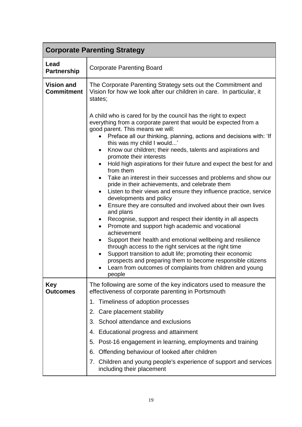| <b>Corporate Parenting Strategy</b>    |                                                                                                                                                                                                                                                                                                                                                                                                                                                                                                                                                                                                                                                                                                                                                                                                                                                                                                                                                                                                                                                                                                                                                                                                                                                                                                  |
|----------------------------------------|--------------------------------------------------------------------------------------------------------------------------------------------------------------------------------------------------------------------------------------------------------------------------------------------------------------------------------------------------------------------------------------------------------------------------------------------------------------------------------------------------------------------------------------------------------------------------------------------------------------------------------------------------------------------------------------------------------------------------------------------------------------------------------------------------------------------------------------------------------------------------------------------------------------------------------------------------------------------------------------------------------------------------------------------------------------------------------------------------------------------------------------------------------------------------------------------------------------------------------------------------------------------------------------------------|
| Lead<br><b>Partnership</b>             | <b>Corporate Parenting Board</b>                                                                                                                                                                                                                                                                                                                                                                                                                                                                                                                                                                                                                                                                                                                                                                                                                                                                                                                                                                                                                                                                                                                                                                                                                                                                 |
| <b>Vision and</b><br><b>Commitment</b> | The Corporate Parenting Strategy sets out the Commitment and<br>Vision for how we look after our children in care. In particular, it<br>states;                                                                                                                                                                                                                                                                                                                                                                                                                                                                                                                                                                                                                                                                                                                                                                                                                                                                                                                                                                                                                                                                                                                                                  |
|                                        | A child who is cared for by the council has the right to expect<br>everything from a corporate parent that would be expected from a<br>good parent. This means we will:<br>Preface all our thinking, planning, actions and decisions with: 'If<br>this was my child I would'<br>Know our children; their needs, talents and aspirations and<br>$\bullet$<br>promote their interests<br>Hold high aspirations for their future and expect the best for and<br>from them<br>Take an interest in their successes and problems and show our<br>$\bullet$<br>pride in their achievements, and celebrate them<br>Listen to their views and ensure they influence practice, service<br>developments and policy<br>Ensure they are consulted and involved about their own lives<br>$\bullet$<br>and plans<br>Recognise, support and respect their identity in all aspects<br>٠<br>Promote and support high academic and vocational<br>$\bullet$<br>achievement<br>Support their health and emotional wellbeing and resilience<br>through access to the right services at the right time<br>Support transition to adult life; promoting their economic<br>$\bullet$<br>prospects and preparing them to become responsible citizens<br>Learn from outcomes of complaints from children and young<br>people |
| <b>Key</b><br><b>Outcomes</b>          | The following are some of the key indicators used to measure the<br>effectiveness of corporate parenting in Portsmouth                                                                                                                                                                                                                                                                                                                                                                                                                                                                                                                                                                                                                                                                                                                                                                                                                                                                                                                                                                                                                                                                                                                                                                           |
|                                        | 1. Timeliness of adoption processes                                                                                                                                                                                                                                                                                                                                                                                                                                                                                                                                                                                                                                                                                                                                                                                                                                                                                                                                                                                                                                                                                                                                                                                                                                                              |
|                                        | Care placement stability<br>2.                                                                                                                                                                                                                                                                                                                                                                                                                                                                                                                                                                                                                                                                                                                                                                                                                                                                                                                                                                                                                                                                                                                                                                                                                                                                   |
|                                        | 3. School attendance and exclusions                                                                                                                                                                                                                                                                                                                                                                                                                                                                                                                                                                                                                                                                                                                                                                                                                                                                                                                                                                                                                                                                                                                                                                                                                                                              |
|                                        | 4. Educational progress and attainment                                                                                                                                                                                                                                                                                                                                                                                                                                                                                                                                                                                                                                                                                                                                                                                                                                                                                                                                                                                                                                                                                                                                                                                                                                                           |
|                                        | Post-16 engagement in learning, employments and training<br>5.                                                                                                                                                                                                                                                                                                                                                                                                                                                                                                                                                                                                                                                                                                                                                                                                                                                                                                                                                                                                                                                                                                                                                                                                                                   |
|                                        | Offending behaviour of looked after children<br>6.                                                                                                                                                                                                                                                                                                                                                                                                                                                                                                                                                                                                                                                                                                                                                                                                                                                                                                                                                                                                                                                                                                                                                                                                                                               |
|                                        | Children and young people's experience of support and services<br>7.<br>including their placement                                                                                                                                                                                                                                                                                                                                                                                                                                                                                                                                                                                                                                                                                                                                                                                                                                                                                                                                                                                                                                                                                                                                                                                                |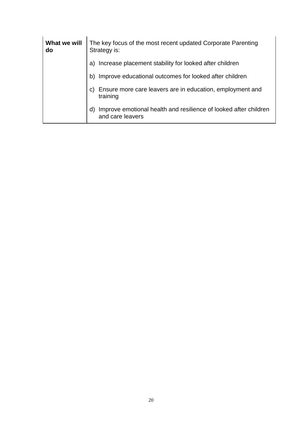| What we will<br>do | The key focus of the most recent updated Corporate Parenting<br>Strategy is:               |
|--------------------|--------------------------------------------------------------------------------------------|
|                    | a) Increase placement stability for looked after children                                  |
|                    | b) Improve educational outcomes for looked after children                                  |
|                    | Ensure more care leavers are in education, employment and<br>C)<br>training                |
|                    | Improve emotional health and resilience of looked after children<br>d)<br>and care leavers |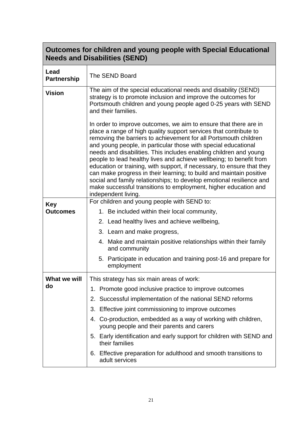| Outcomes for children and young people with Special Educational<br><b>Needs and Disabilities (SEND)</b> |                                                                                                                                                                                                                                                                                                                                                                                                                                                                                                                                                                                                                                                                                                                                            |
|---------------------------------------------------------------------------------------------------------|--------------------------------------------------------------------------------------------------------------------------------------------------------------------------------------------------------------------------------------------------------------------------------------------------------------------------------------------------------------------------------------------------------------------------------------------------------------------------------------------------------------------------------------------------------------------------------------------------------------------------------------------------------------------------------------------------------------------------------------------|
| Lead<br><b>Partnership</b>                                                                              | The SEND Board                                                                                                                                                                                                                                                                                                                                                                                                                                                                                                                                                                                                                                                                                                                             |
| <b>Vision</b>                                                                                           | The aim of the special educational needs and disability (SEND)<br>strategy is to promote inclusion and improve the outcomes for<br>Portsmouth children and young people aged 0-25 years with SEND<br>and their families.                                                                                                                                                                                                                                                                                                                                                                                                                                                                                                                   |
|                                                                                                         | In order to improve outcomes, we aim to ensure that there are in<br>place a range of high quality support services that contribute to<br>removing the barriers to achievement for all Portsmouth children<br>and young people, in particular those with special educational<br>needs and disabilities. This includes enabling children and young<br>people to lead healthy lives and achieve wellbeing; to benefit from<br>education or training, with support, if necessary, to ensure that they<br>can make progress in their learning; to build and maintain positive<br>social and family relationships; to develop emotional resilience and<br>make successful transitions to employment, higher education and<br>independent living. |
| <b>Key</b>                                                                                              | For children and young people with SEND to:                                                                                                                                                                                                                                                                                                                                                                                                                                                                                                                                                                                                                                                                                                |
| <b>Outcomes</b>                                                                                         | 1. Be included within their local community,                                                                                                                                                                                                                                                                                                                                                                                                                                                                                                                                                                                                                                                                                               |
|                                                                                                         | 2. Lead healthy lives and achieve wellbeing,                                                                                                                                                                                                                                                                                                                                                                                                                                                                                                                                                                                                                                                                                               |
|                                                                                                         | 3. Learn and make progress,                                                                                                                                                                                                                                                                                                                                                                                                                                                                                                                                                                                                                                                                                                                |
|                                                                                                         | 4. Make and maintain positive relationships within their family<br>and community                                                                                                                                                                                                                                                                                                                                                                                                                                                                                                                                                                                                                                                           |
|                                                                                                         | 5. Participate in education and training post-16 and prepare for<br>employment                                                                                                                                                                                                                                                                                                                                                                                                                                                                                                                                                                                                                                                             |
| What we will                                                                                            | This strategy has six main areas of work:                                                                                                                                                                                                                                                                                                                                                                                                                                                                                                                                                                                                                                                                                                  |
| do                                                                                                      | 1. Promote good inclusive practice to improve outcomes                                                                                                                                                                                                                                                                                                                                                                                                                                                                                                                                                                                                                                                                                     |
|                                                                                                         | 2. Successful implementation of the national SEND reforms                                                                                                                                                                                                                                                                                                                                                                                                                                                                                                                                                                                                                                                                                  |
|                                                                                                         | 3. Effective joint commissioning to improve outcomes                                                                                                                                                                                                                                                                                                                                                                                                                                                                                                                                                                                                                                                                                       |
|                                                                                                         | 4. Co-production, embedded as a way of working with children,<br>young people and their parents and carers                                                                                                                                                                                                                                                                                                                                                                                                                                                                                                                                                                                                                                 |
|                                                                                                         | 5. Early identification and early support for children with SEND and<br>their families                                                                                                                                                                                                                                                                                                                                                                                                                                                                                                                                                                                                                                                     |
|                                                                                                         | 6. Effective preparation for adulthood and smooth transitions to<br>adult services                                                                                                                                                                                                                                                                                                                                                                                                                                                                                                                                                                                                                                                         |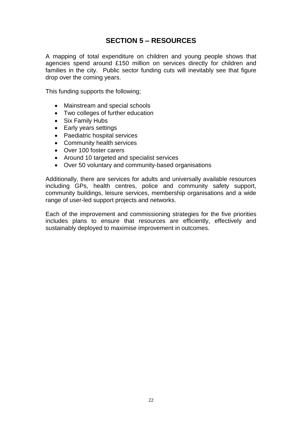## **SECTION 5 – RESOURCES**

A mapping of total expenditure on children and young people shows that agencies spend around £150 million on services directly for children and families in the city. Public sector funding cuts will inevitably see that figure drop over the coming years.

This funding supports the following;

- Mainstream and special schools
- Two colleges of further education
- Six Family Hubs
- Early years settings
- Paediatric hospital services
- Community health services
- Over 100 foster carers
- Around 10 targeted and specialist services
- Over 50 voluntary and community-based organisations

Additionally, there are services for adults and universally available resources including GPs, health centres, police and community safety support, community buildings, leisure services, membership organisations and a wide range of user-led support projects and networks.

Each of the improvement and commissioning strategies for the five priorities includes plans to ensure that resources are efficiently, effectively and sustainably deployed to maximise improvement in outcomes.